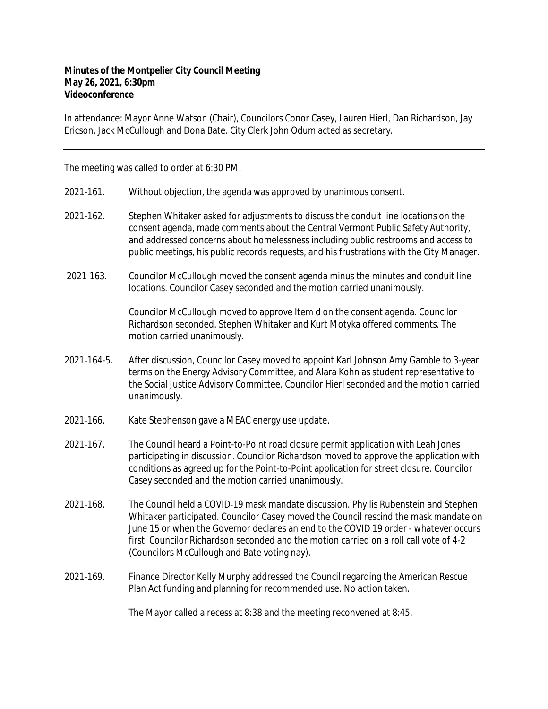## **Minutes of the Montpelier City Council Meeting May 26, 2021, 6:30pm Videoconference**

In attendance: Mayor Anne Watson (Chair), Councilors Conor Casey, Lauren Hierl, Dan Richardson, Jay Ericson, Jack McCullough and Dona Bate. City Clerk John Odum acted as secretary.

The meeting was called to order at 6:30 PM.

- 2021‐161. Without objection, the agenda was approved by unanimous consent.
- 2021-162. Stephen Whitaker asked for adjustments to discuss the conduit line locations on the consent agenda, made comments about the Central Vermont Public Safety Authority, and addressed concerns about homelessness including public restrooms and access to public meetings, his public records requests, and his frustrations with the City Manager.
- 2021-163. Councilor McCullough moved the consent agenda minus the minutes and conduit line locations. Councilor Casey seconded and the motion carried unanimously.

Councilor McCullough moved to approve Item d on the consent agenda. Councilor Richardson seconded. Stephen Whitaker and Kurt Motyka offered comments. The motion carried unanimously.

- 2021‐164-5. After discussion, Councilor Casey moved to appoint Karl Johnson Amy Gamble to 3-year terms on the Energy Advisory Committee, and Alara Kohn as student representative to the Social Justice Advisory Committee. Councilor Hierl seconded and the motion carried unanimously.
- 2021‐166. Kate Stephenson gave a MEAC energy use update.
- 2021‐167. The Council heard a Point-to-Point road closure permit application with Leah Jones participating in discussion. Councilor Richardson moved to approve the application with conditions as agreed up for the Point-to-Point application for street closure. Councilor Casey seconded and the motion carried unanimously.
- 2021‐168. The Council held a COVID‐19 mask mandate discussion. Phyllis Rubenstein and Stephen Whitaker participated. Councilor Casey moved the Council rescind the mask mandate on June 15 or when the Governor declares an end to the COVID 19 order - whatever occurs first. Councilor Richardson seconded and the motion carried on a roll call vote of 4-2 (Councilors McCullough and Bate voting nay).
- 2021‐169. Finance Director Kelly Murphy addressed the Council regarding the American Rescue Plan Act funding and planning for recommended use. No action taken.

The Mayor called a recess at 8:38 and the meeting reconvened at 8:45.